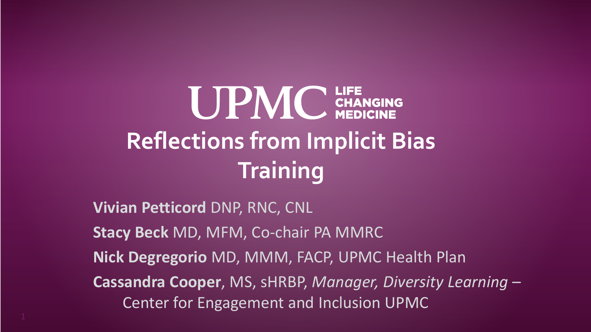# **UPMC** CHANGING **Reflections from Implicit Bias Training**

**Vivian Petticord** DNP, RNC, CNL **Stacy Beck** MD, MFM, Co-chair PA MMRC **Nick Degregorio** MD, MMM, FACP, UPMC Health Plan **Cassandra Cooper**, MS, sHRBP, *Manager, Diversity Learning* – Center for Engagement and Inclusion UPMC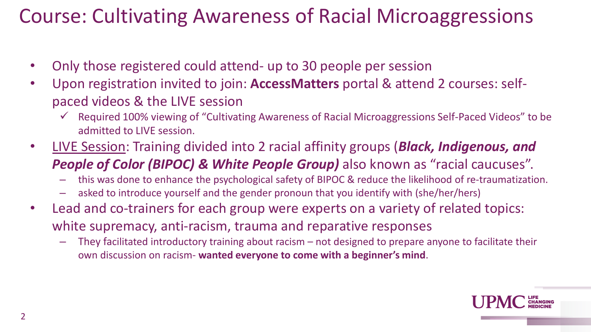## Course: Cultivating Awareness of Racial Microaggressions

- Only those registered could attend- up to 30 people per session
- Upon registration invited to join: **AccessMatters** portal & attend 2 courses: selfpaced videos & the LIVE session
	- $\checkmark$  Required 100% viewing of "Cultivating Awareness of Racial Microaggressions Self-Paced Videos" to be admitted to LIVE session.
- LIVE Session: Training divided into 2 racial affinity groups (*Black, Indigenous, and*  **People of Color (BIPOC) & White People Group)** also known as "racial caucuses".
	- this was done to enhance the psychological safety of BIPOC & reduce the likelihood of re-traumatization.
	- asked to introduce yourself and the gender pronoun that you identify with (she/her/hers)
- Lead and co-trainers for each group were experts on a variety of related topics: white supremacy, anti-racism, trauma and reparative responses
	- They facilitated introductory training about racism not designed to prepare anyone to facilitate their own discussion on racism- **wanted everyone to come with a beginner's mind**.

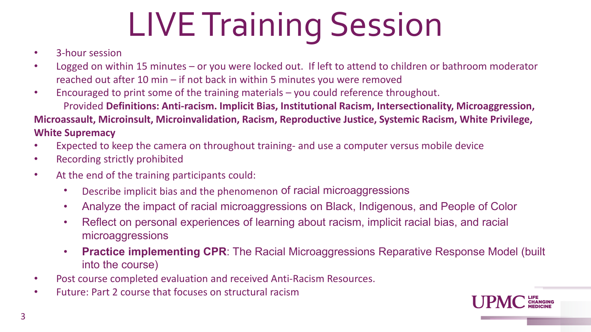# LIVE Training Session

- 3-hour session
- Logged on within 15 minutes or you were locked out. If left to attend to children or bathroom moderator reached out after 10 min – if not back in within 5 minutes you were removed
- Encouraged to print some of the training materials you could reference throughout.

Provided **Definitions: Anti-racism. Implicit Bias, Institutional Racism, Intersectionality, Microaggression, Microassault, Microinsult, Microinvalidation, Racism, Reproductive Justice, Systemic Racism, White Privilege, White Supremacy**

- Expected to keep the camera on throughout training- and use a computer versus mobile device
- Recording strictly prohibited
- At the end of the training participants could:
	- Describe implicit bias and the phenomenon of racial microaggressions
	- Analyze the impact of racial microaggressions on Black, Indigenous, and People of Color
	- Reflect on personal experiences of learning about racism, implicit racial bias, and racial microaggressions
	- **Practice implementing CPR**: The Racial Microaggressions Reparative Response Model (built into the course)
- Post course completed evaluation and received Anti-Racism Resources.
- Future: Part 2 course that focuses on structural racism

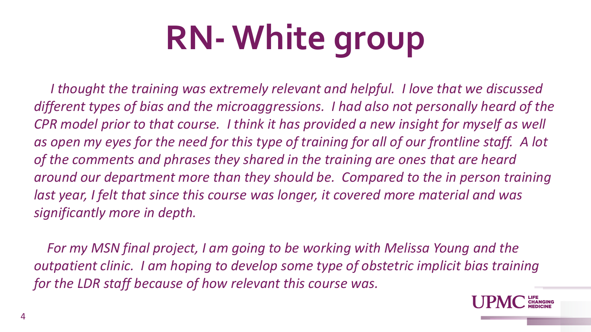# **RN-White group**

*I thought the training was extremely relevant and helpful. I love that we discussed different types of bias and the microaggressions. I had also not personally heard of the CPR model prior to that course. I think it has provided a new insight for myself as well as open my eyes for the need for this type of training for all of our frontline staff. A lot of the comments and phrases they shared in the training are ones that are heard around our department more than they should be. Compared to the in person training*  last year, I felt that since this course was longer, it covered more material and was *significantly more in depth.*

*For my MSN final project, I am going to be working with Melissa Young and the outpatient clinic. I am hoping to develop some type of obstetric implicit bias training for the LDR staff because of how relevant this course was.*

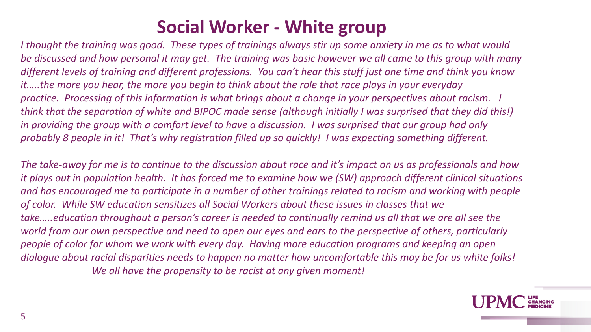### **Social Worker - White group**

*I thought the training was good. These types of trainings always stir up some anxiety in me as to what would be discussed and how personal it may get. The training was basic however we all came to this group with many different levels of training and different professions. You can't hear this stuff just one time and think you know it…..the more you hear, the more you begin to think about the role that race plays in your everyday practice. Processing of this information is what brings about a change in your perspectives about racism. I think that the separation of white and BIPOC made sense (although initially I was surprised that they did this!) in providing the group with a comfort level to have a discussion. I was surprised that our group had only probably 8 people in it! That's why registration filled up so quickly! I was expecting something different.* 

*The take-away for me is to continue to the discussion about race and it's impact on us as professionals and how it plays out in population health. It has forced me to examine how we (SW) approach different clinical situations and has encouraged me to participate in a number of other trainings related to racism and working with people of color. While SW education sensitizes all Social Workers about these issues in classes that we take…..education throughout a person's career is needed to continually remind us all that we are all see the world from our own perspective and need to open our eyes and ears to the perspective of others, particularly people of color for whom we work with every day. Having more education programs and keeping an open dialogue about racial disparities needs to happen no matter how uncomfortable this may be for us white folks! We all have the propensity to be racist at any given moment!*

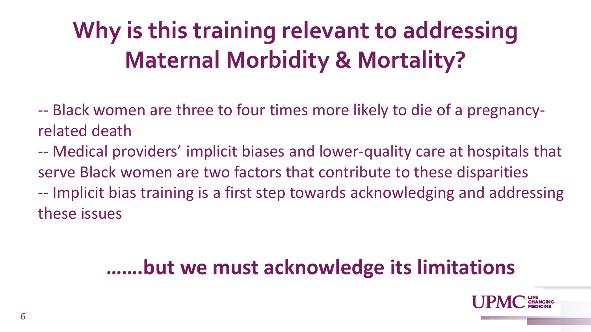# **Why is this training relevant to addressing Maternal Morbidity & Mortality?**

-- Black women are three to four times more likely to die of a pregnancyrelated death

-- Medical providers' implicit biases and lower-quality care at hospitals that serve Black women are two factors that contribute to these disparities -- Implicit bias training is a first step towards acknowledging and addressing these issues

## **…….but we must acknowledge its limitations**

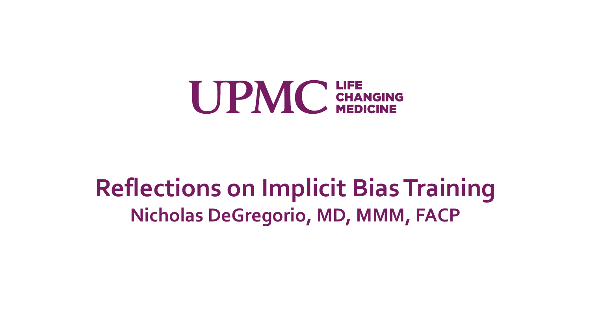

## **Reflections on Implicit Bias Training Nicholas DeGregorio, MD, MMM, FACP**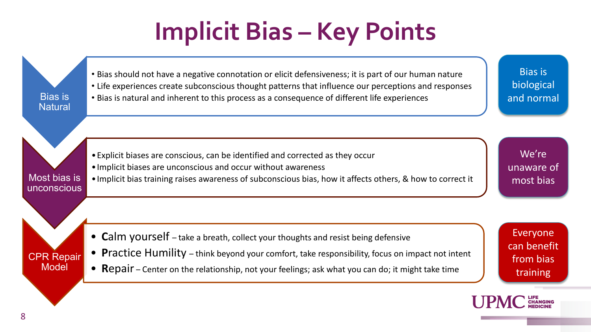# **Implicit Bias – Key Points**

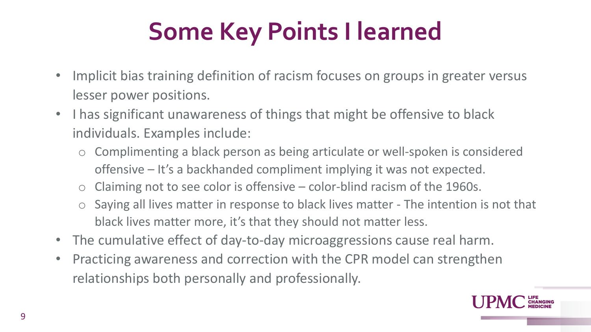# **Some Key Points I learned**

- Implicit bias training definition of racism focuses on groups in greater versus lesser power positions.
- I has significant unawareness of things that might be offensive to black individuals. Examples include:
	- Complimenting a black person as being articulate or well-spoken is considered offensive – It's a backhanded compliment implying it was not expected.
	- $\circ$  Claiming not to see color is offensive color-blind racism of the 1960s.
	- Saying all lives matter in response to black lives matter The intention is not that black lives matter more, it's that they should not matter less.
- The cumulative effect of day-to-day microaggressions cause real harm.
- Practicing awareness and correction with the CPR model can strengthen relationships both personally and professionally.

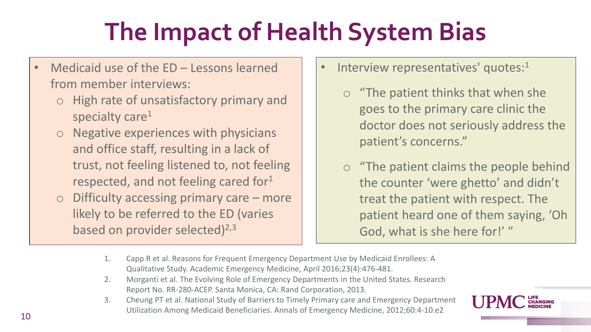# **The Impact of Health System Bias**

- Medicaid use of the ED Lessons learned from member interviews:
	- o High rate of unsatisfactory primary and specialty care<sup>1</sup>
	- o Negative experiences with physicians and office staff, resulting in a lack of trust, not feeling listened to, not feeling respected, and not feeling cared for<sup>1</sup>
	- $\circ$  Difficulty accessing primary care more likely to be referred to the ED (varies based on provider selected) $^{2,3}$
- Interview representatives' quotes:<sup>1</sup>
	- o "The patient thinks that when she goes to the primary care clinic the doctor does not seriously address the patient's concerns."
	- o "The patient claims the people behind the counter 'were ghetto' and didn't treat the patient with respect. The patient heard one of them saying, 'Oh God, what is she here for!' "
- 1. Capp R et al. Reasons for Frequent Emergency Department Use by Medicaid Enrollees: A Qualitative Study. Academic Emergency Medicine, April 2016;23(4):476-481.
- 2. Morganti et al. The Evolving Role of Emergency Departments in the United States. Research Report No. RR-280-ACEP. Santa Monica, CA: Rand Corporation, 2013.
- 3. Cheung PT et al. National Study of Barriers to Timely Primary care and Emergency Department Utilization Among Medicaid Beneficiaries. Annals of Emergency Medicine, 2012;60:4-10.e2

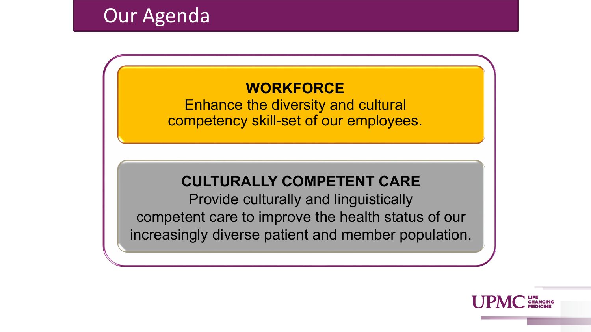### **Our Agenda**

### **WORKFORCE**

Enhance the diversity and cultural competency skill-set of our employees.

#### **CULTURALLY COMPETENT CARE**

Provide culturally and linguistically competent care to improve the health status of our increasingly diverse patient and member population.

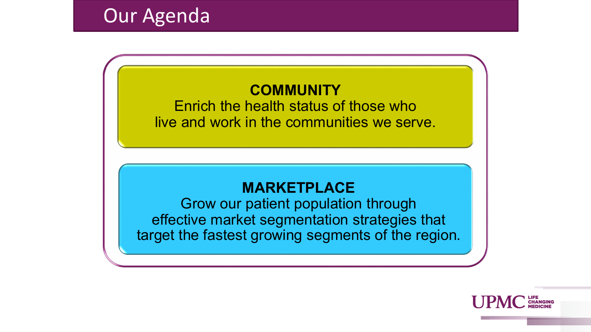#### **COMMUNITY**

Enrich the health status of those who live and work in the communities we serve.

#### **MARKETPLACE**

Grow our patient population through effective market segmentation strategies that target the fastest growing segments of the region.

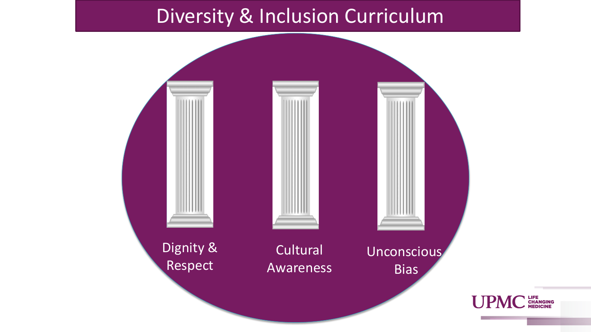### Diversity & Inclusion Curriculum